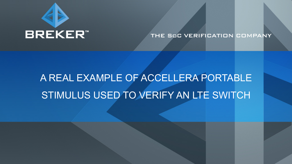

## THE SOC VERIFICATION COMPANY

# A REAL EXAMPLE OF ACCELLERA PORTABLE STIMULUS USED TO VERIFY AN LTE SWITCH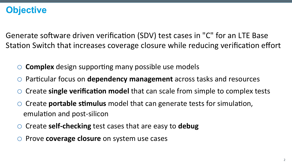# **Objective**

Generate software driven verification (SDV) test cases in "C" for an LTE Base Station Switch that increases coverage closure while reducing verification effort

- **Complex** design supporting many possible use models
- Particular focus on **dependency management** across tasks and resources
- Create **single verification model** that can scale from simple to complex tests
- Create **portable stimulus** model that can generate tests for simulation, emulation and post-silicon
- Create **self-checking** test cases that are easy to **debug**
- Prove **coverage closure** on system use cases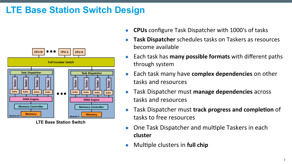# **LTE Base Station Switch Design**



**LTE Base Station Switch** 

- **CPUs** configure Task Dispatcher with 1000's of tasks
- **Task Dispatcher** schedules tasks on Taskers as resources become available
- Each task has **many possible formats** with different paths through system
- **Each task many have complex dependencies** on other tasks and resources
- **.** Task Dispatcher must manage dependencies across tasks and resources
- Task Dispatcher must **track progress and completion** of tasks to free resources
- One Task Dispatcher and multiple Taskers in each **cluster**
- **•** Multiple clusters in full chip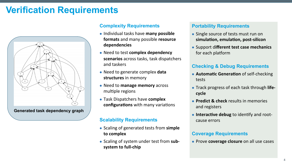# **Verification Requirements**



### **Complexity Requirements**

- **.** Individual tasks have many possible **formats** and many possible **resource** dependencies
- **.** Need to test complex dependency **scenarios** across tasks, task dispatchers and taskers
- Need to generate complex **data structures** in memory
- Need to manage memory across multiple regions
- **Task Dispatchers have complex configurations** with many variations

### **Scalability Requirements**

- Scaling of generated tests from simple to complex
- Scaling of system under test from subsystem to full-chip

#### **Portability Requirements**

- Single source of tests must run on simulation, emulation, post-silicon
- **.** Support different test case mechanics for each platform

### **Checking & Debug Requirements**

- **Automatic Generation** of self-checking tests
- **Track progress of each task through lifecycle**
- **Predict & check** results in memories and registers
- **Interactive debug** to identify and rootcause errors

#### **Coverage Requirements**

**.** Prove **coverage closure** on all use cases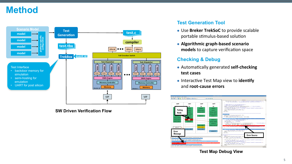# **Method**



#### **SW Driven Verification Flow**

### **Test Generation Tool**

- **.** Use Breker TrekSoC to provide scalable portable stimulus-based solution
- **Algorithmic graph-based scenario models** to capture verification space

### **Checking & Debug**

- **Automatically generated self-checking test cases**
- **.** Interactive Test Map view to identify and **root-cause errors**



**Test Map Debug View**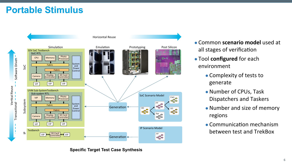# **Portable Stimulus**



**Specific Target Test Case Synthesis** 

- **Common scenario model** used at all stages of verification
- **.** Tool configured for each environment
	- Complexity of tests to generate
	- Number of CPUs, Task Dispatchers and Taskers
	- Number and size of memory regions
	- Communication mechanism between test and TrekBox